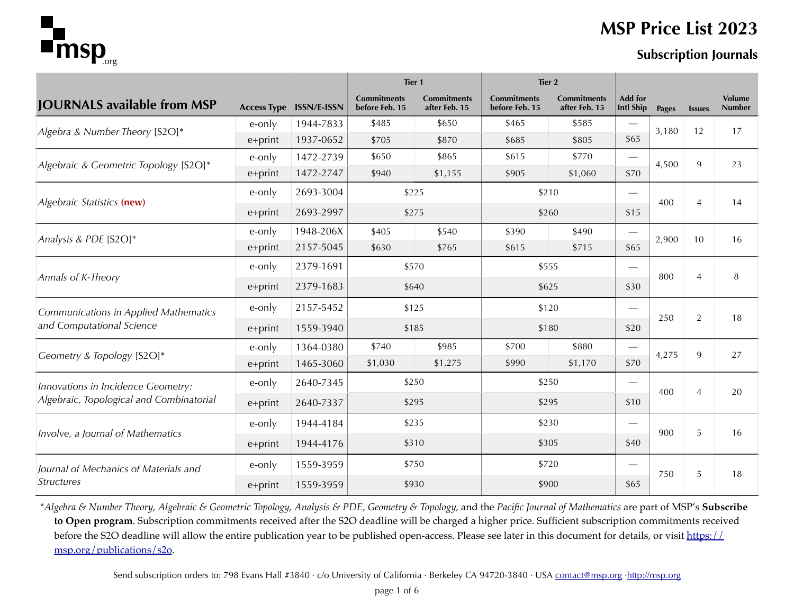

## **MSP Price List 2023**

|                                          |         |                                | Tier <sub>1</sub>                    |                                     | Tier 2                               |                                     |                                    |              |                |                                |  |
|------------------------------------------|---------|--------------------------------|--------------------------------------|-------------------------------------|--------------------------------------|-------------------------------------|------------------------------------|--------------|----------------|--------------------------------|--|
| <b>JOURNALS available from MSP</b>       |         | <b>Access Type ISSN/E-ISSN</b> | <b>Commitments</b><br>before Feb. 15 | <b>Commitments</b><br>after Feb. 15 | <b>Commitments</b><br>before Feb. 15 | <b>Commitments</b><br>after Feb. 15 | <b>Add for</b><br><b>Intl Ship</b> | <b>Pages</b> | <b>Issues</b>  | <b>Volume</b><br><b>Number</b> |  |
|                                          | e-only  | 1944-7833                      | \$485                                | \$650                               | \$465                                | \$585                               |                                    | 3,180        | 12             | 17                             |  |
| Algebra & Number Theory [S2O]*           | e+print | 1937-0652                      | \$705                                | \$870                               | \$685                                | \$805                               | \$65                               |              |                |                                |  |
| Algebraic & Geometric Topology [S2O]*    | e-only  | 1472-2739                      | \$650                                | \$865                               | \$615                                | \$770                               | $\qquad \qquad$                    | 4,500        | 9              | 23                             |  |
|                                          | e+print | 1472-2747                      | \$940                                | \$1,155                             | \$905                                | \$1,060                             | \$70                               |              |                |                                |  |
|                                          | e-only  | 2693-3004                      |                                      | \$225                               |                                      | \$210                               | $\overbrace{\phantom{1232211}}$    | 400          | $\overline{4}$ |                                |  |
| Algebraic Statistics (new)               | e+print | 2693-2997                      |                                      | \$275                               |                                      | \$260                               | \$15                               |              |                | 14                             |  |
| Analysis & PDE [S2O]*                    | e-only  | 1948-206X                      | \$405                                | \$540                               | \$390                                | \$490                               |                                    | 2,900        |                |                                |  |
|                                          | e+print | 2157-5045                      | \$630                                | \$765                               | \$615                                | \$715                               | \$65                               |              | 10             | 16                             |  |
|                                          | e-only  | 2379-1691                      |                                      | \$570                               | \$555                                |                                     |                                    |              |                |                                |  |
| Annals of K-Theory                       | e+print | 2379-1683                      |                                      | \$640                               | \$625                                |                                     | \$30                               | 800          | 4              | 8                              |  |
| Communications in Applied Mathematics    | e-only  | 2157-5452                      |                                      | \$125                               |                                      | \$120                               | $\overline{\phantom{0}}$           |              |                | 18                             |  |
| and Computational Science                | e+print | 1559-3940                      |                                      | \$185                               |                                      | \$180                               | \$20                               |              | 250<br>2       |                                |  |
|                                          | e-only  | 1364-0380                      | \$740                                | \$985                               | \$700                                | \$880                               | $\equiv$                           | 4,275        | 9              | 27                             |  |
| Geometry & Topology [S2O]*               | e+print | 1465-3060                      | \$1,030                              | \$1,275                             | \$990                                | \$1,170                             | \$70                               |              |                |                                |  |
| Innovations in Incidence Geometry:       | e-only  | 2640-7345                      |                                      | \$250                               |                                      | \$250                               | $\overline{\phantom{0}}$           | 400          | $\overline{4}$ | 20                             |  |
| Algebraic, Topological and Combinatorial | e+print | 2640-7337                      |                                      | \$295                               | \$295                                |                                     | \$10                               |              |                |                                |  |
|                                          | e-only  | 1944-4184                      |                                      | \$235                               |                                      | \$230                               | $\overline{\phantom{0}}$           | 900          | 5              | 16                             |  |
| Involve, a Journal of Mathematics        | e+print | 1944-4176                      |                                      | \$310                               | \$305                                |                                     | \$40                               |              |                |                                |  |
| Journal of Mechanics of Materials and    | e-only  | 1559-3959                      |                                      | \$750                               |                                      | \$720                               | e e de                             |              |                |                                |  |
| <i><u>Structures</u></i>                 | e+print | 1559-3959                      | \$930                                |                                     | \$900                                |                                     | \$65                               | 750          | 5              | 18                             |  |

\**Algebra & Number Theory, Algebraic & Geometric Topology, Analysis & PDE, Geometry & Topology,* and the *Pacific Journal of Mathematics* are part of MSP's **Subscribe to Open program**. Subscription commitments received after the S2O deadline will be charged a higher price. Sufficient subscription commitments received before the S2O deadline will allow the entire publication year to be published open-access. Please see later in this document for details, or visit [https://](https://msp.org/publications/s2o) [msp.org/publications/s2o.](https://msp.org/publications/s2o)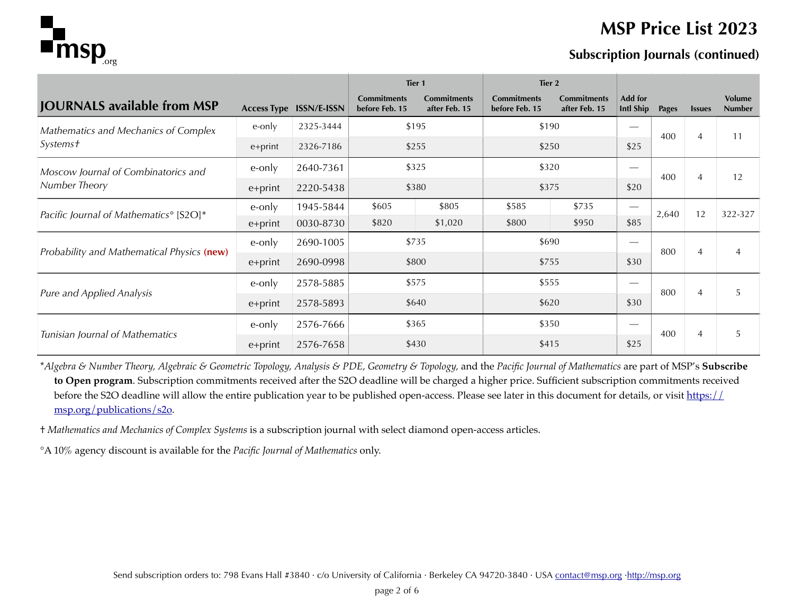

#### **MSP Price List 2023**

#### **Subscription Journals (continued)**

|                                                    |         |                                | Tier 1                               |                                     | Tier 2                               |                                     |                             |       |                |                                |
|----------------------------------------------------|---------|--------------------------------|--------------------------------------|-------------------------------------|--------------------------------------|-------------------------------------|-----------------------------|-------|----------------|--------------------------------|
| <b>JOURNALS available from MSP</b>                 |         | <b>Access Type ISSN/E-ISSN</b> | <b>Commitments</b><br>before Feb. 15 | <b>Commitments</b><br>after Feb. 15 | <b>Commitments</b><br>before Feb. 15 | <b>Commitments</b><br>after Feb. 15 | Add for<br><b>Intl Ship</b> | Pages | <b>Issues</b>  | <b>Volume</b><br><b>Number</b> |
| Mathematics and Mechanics of Complex               | e-only  | 2325-3444                      |                                      | \$195                               | \$190                                |                                     |                             | 400   |                |                                |
| <i>Systems†</i>                                    | e+print | 2326-7186                      | \$255                                |                                     | \$250                                |                                     | \$25                        |       | $\overline{4}$ | 11                             |
| Moscow Journal of Combinatorics and                | e-only  | 2640-7361                      | \$325                                |                                     | \$320                                |                                     |                             | 400   | $\overline{4}$ | 12                             |
| Number Theory                                      | e+print | 2220-5438                      | \$380                                |                                     | \$375                                |                                     | \$20                        |       |                |                                |
| Pacific Journal of Mathematics <sup>°</sup> [S2O]* | e-only  | 1945-5844                      | \$605                                | \$805                               | \$585                                | \$735                               |                             | 2,640 | 12             | 322-327                        |
|                                                    | e+print | 0030-8730                      | \$820                                | \$1,020                             | \$800                                | \$950                               | \$85                        |       |                |                                |
| Probability and Mathematical Physics (new)         | e-only  | 2690-1005                      | \$735                                |                                     | \$690                                |                                     |                             | 800   | $\overline{4}$ | $\overline{4}$                 |
|                                                    | e+print | 2690-0998                      | \$800                                |                                     | \$755                                |                                     | \$30                        |       |                |                                |
| Pure and Applied Analysis                          | e-only  | 2578-5885                      | \$575                                |                                     | \$555                                |                                     |                             | 800   | $\overline{4}$ | .5                             |
|                                                    | e+print | 2578-5893                      | \$640                                |                                     | \$620                                |                                     | \$30                        |       |                |                                |
| Tunisian Journal of Mathematics                    | e-only  | 2576-7666                      |                                      | \$365                               | \$350                                |                                     | 400<br>5<br>$\overline{4}$  |       |                |                                |
|                                                    | e+print | 2576-7658                      |                                      | \$430                               | \$415                                |                                     | \$25                        |       |                |                                |

\**Algebra & Number Theory, Algebraic & Geometric Topology, Analysis & PDE, Geometry & Topology,* and the *Pacific Journal of Mathematics* are part of MSP's **Subscribe to Open program**. Subscription commitments received after the S2O deadline will be charged a higher price. Sufficient subscription commitments received before the S2O deadline will allow the entire publication year to be published open-access. Please see later in this document for details, or visit [https://](https://msp.org/publications/s2o) [msp.org/publications/s2o.](https://msp.org/publications/s2o)

† *Mathematics and Mechanics of Complex Systems* is a subscription journal with select diamond open-access articles.

°A 10% agency discount is available for the *Pacific Journal of Mathematics* only.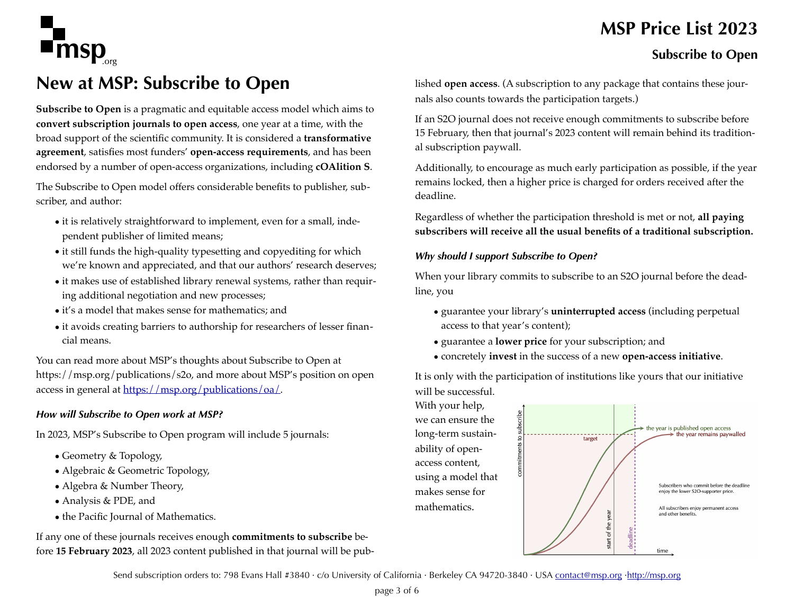

# **New at MSP: Subscribe to Open**  1

**Subscribe to Open** is a pragmatic and equitable access model which aims to **convert subscription journals to open access**, one year at a time, with the broad support of the scientific community. It is considered a **transformative agreement**, satisfies most funders' **open-access requirements**, and has been endorsed by a number of open-access organizations, including **cOAlition S**.

The Subscribe to Open model offers considerable benefits to publisher, subscriber, and author:

- it is relatively straightforward to implement, even for a small, independent publisher of limited means;
- it still funds the high-quality typesetting and copyediting for which we're known and appreciated, and that our authors' research deserves;
- it makes use of established library renewal systems, rather than requiring additional negotiation and new processes;
- it's a model that makes sense for mathematics; and
- it avoids creating barriers to authorship for researchers of lesser financial means.

You can read more about MSP's thoughts about Subscribe to Open at https://msp.org/publications/s2o, and more about MSP's position on open access in general at [https://msp.org/publications/oa/.](https://msp.org/publications/oa/)

#### *How will Subscribe to Open work at MSP?*

In 2023, MSP's Subscribe to Open program will include 5 journals:

- Geometry & Topology,
- Algebraic & Geometric Topology,
- Algebra & Number Theory,
- Analysis & PDE, and
- the Pacific Journal of Mathematics.

If any one of these journals receives enough **commitments to subscribe** before **15 February 2023**, all 2023 content published in that journal will be pub-

# **MSP Price List 2023**

#### **Subscribe to Open**

lished **open access**. (A subscription to any package that contains these journals also counts towards the participation targets.)

If an S2O journal does not receive enough commitments to subscribe before 15 February, then that journal's 2023 content will remain behind its traditional subscription paywall.

Additionally, to encourage as much early participation as possible, if the year remains locked, then a higher price is charged for orders received after the deadline.

Regardless of whether the participation threshold is met or not, **all paying subscribers will receive all the usual benefits of a traditional subscription.**

#### *Why should I support Subscribe to Open?*

When your library commits to subscribe to an S2O journal before the deadline, you

- guarantee your library's **uninterrupted access** (including perpetual access to that year's content);
- guarantee a **lower price** for your subscription; and
- concretely **invest** in the success of a new **open-access initiative**.

It is only with the participation of institutions like yours that our initiative will be successful.

With your help, we can ensure the long-term sustainability of openaccess content, using a model that makes sense for mathematics.



Send subscription orders to: 798 Evans Hall #3840 · c/o University of California · Berkeley CA 94720-3840 · USA [contact@msp.org](mailto:contact@msp.org) ·<http://msp.org>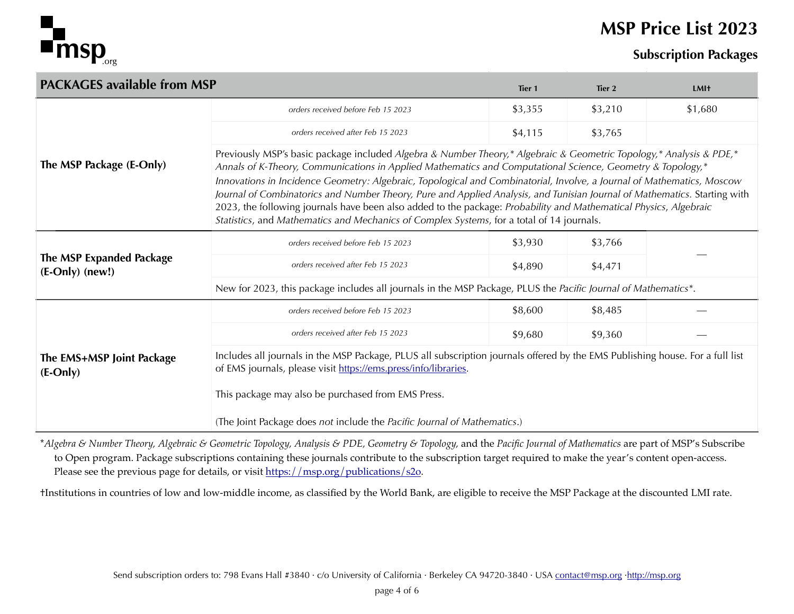

## **MSP Price List 2023**

#### **Subscription Packages**

| <b>PACKAGES available from MSP</b>            |                                                                                                                                                                                                                                                                                                                              | Tier <sub>1</sub>                                                                                                                                                                                                                                                                                                                                                          | Tier 2  | <b>LMI</b> <sup>+</sup> |  |  |  |  |
|-----------------------------------------------|------------------------------------------------------------------------------------------------------------------------------------------------------------------------------------------------------------------------------------------------------------------------------------------------------------------------------|----------------------------------------------------------------------------------------------------------------------------------------------------------------------------------------------------------------------------------------------------------------------------------------------------------------------------------------------------------------------------|---------|-------------------------|--|--|--|--|
|                                               | orders received before Feb 15 2023                                                                                                                                                                                                                                                                                           | \$3,355                                                                                                                                                                                                                                                                                                                                                                    | \$3,210 | \$1,680                 |  |  |  |  |
|                                               | orders received after Feb 15 2023                                                                                                                                                                                                                                                                                            | \$4,115                                                                                                                                                                                                                                                                                                                                                                    | \$3,765 |                         |  |  |  |  |
| The MSP Package (E-Only)                      | Annals of K-Theory, Communications in Applied Mathematics and Computational Science, Geometry & Topology,*<br>2023, the following journals have been also added to the package: Probability and Mathematical Physics, Algebraic<br>Statistics, and Mathematics and Mechanics of Complex Systems, for a total of 14 journals. | Previously MSP's basic package included Algebra & Number Theory,* Algebraic & Geometric Topology,* Analysis & PDE,*<br>Innovations in Incidence Geometry: Algebraic, Topological and Combinatorial, Involve, a Journal of Mathematics, Moscow<br>Journal of Combinatorics and Number Theory, Pure and Applied Analysis, and Tunisian Journal of Mathematics. Starting with |         |                         |  |  |  |  |
|                                               | orders received before Feb 15 2023                                                                                                                                                                                                                                                                                           | \$3,930                                                                                                                                                                                                                                                                                                                                                                    | \$3,766 |                         |  |  |  |  |
| The MSP Expanded Package<br>$(E-Only)$ (new!) | orders received after Feb 15 2023                                                                                                                                                                                                                                                                                            | \$4,890                                                                                                                                                                                                                                                                                                                                                                    | \$4,471 |                         |  |  |  |  |
|                                               | New for 2023, this package includes all journals in the MSP Package, PLUS the Pacific Journal of Mathematics*.                                                                                                                                                                                                               |                                                                                                                                                                                                                                                                                                                                                                            |         |                         |  |  |  |  |
|                                               | orders received before Feb 15 2023                                                                                                                                                                                                                                                                                           | \$8,600                                                                                                                                                                                                                                                                                                                                                                    | \$8,485 |                         |  |  |  |  |
|                                               | orders received after Feb 15 2023                                                                                                                                                                                                                                                                                            | \$9,680                                                                                                                                                                                                                                                                                                                                                                    | \$9,360 |                         |  |  |  |  |
| The EMS+MSP Joint Package<br>$(E-Only)$       | Includes all journals in the MSP Package, PLUS all subscription journals offered by the EMS Publishing house. For a full list<br>of EMS journals, please visit https://ems.press/info/libraries.<br>This package may also be purchased from EMS Press.                                                                       |                                                                                                                                                                                                                                                                                                                                                                            |         |                         |  |  |  |  |
|                                               | (The Joint Package does not include the Pacific Journal of Mathematics.)                                                                                                                                                                                                                                                     |                                                                                                                                                                                                                                                                                                                                                                            |         |                         |  |  |  |  |

\**Algebra & Number Theory, Algebraic & Geometric Topology, Analysis & PDE, Geometry & Topology,* and the *Pacific Journal of Mathematics* are part of MSP's Subscribe to Open program. Package subscriptions containing these journals contribute to the subscription target required to make the year's content open-access. Please see the previous page for details, or visit [https://msp.org/publications/s2o.](https://msp.org/publications/s2o)

†Institutions in countries of low and low-middle income, as classified by the World Bank, are eligible to receive the MSP Package at the discounted LMI rate.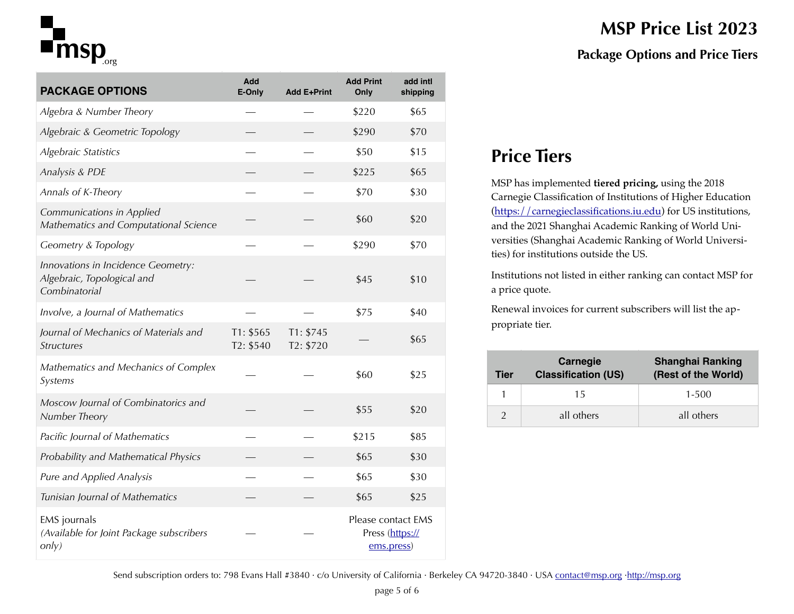# $\blacksquare$ msp $_{\tiny{\text{org}}}$

| <b>PACKAGE OPTIONS</b>                                                            | Add<br>E-Only          | <b>Add E+Print</b>     | <b>Add Print</b><br>Only                            | add intl<br>shipping |
|-----------------------------------------------------------------------------------|------------------------|------------------------|-----------------------------------------------------|----------------------|
| Algebra & Number Theory                                                           |                        |                        | \$220                                               | \$65                 |
| Algebraic & Geometric Topology                                                    |                        |                        | \$290                                               | \$70                 |
| Algebraic Statistics                                                              |                        |                        | \$50                                                | \$15                 |
| Analysis & PDE                                                                    |                        |                        | \$225                                               | \$65                 |
| Annals of K-Theory                                                                |                        |                        | \$70                                                | \$30                 |
| Communications in Applied<br>Mathematics and Computational Science                |                        |                        | \$60                                                | \$20                 |
| Geometry & Topology                                                               |                        |                        | \$290                                               | \$70                 |
| Innovations in Incidence Geometry:<br>Algebraic, Topological and<br>Combinatorial |                        |                        | \$45                                                | \$10                 |
| Involve, a Journal of Mathematics                                                 |                        |                        | \$75                                                | \$40                 |
| Journal of Mechanics of Materials and<br><b>Structures</b>                        | T1: \$565<br>T2: \$540 | T1: \$745<br>T2: \$720 |                                                     | \$65                 |
| Mathematics and Mechanics of Complex<br>Systems                                   |                        |                        | \$60                                                | \$25                 |
| Moscow Journal of Combinatorics and<br>Number Theory                              |                        |                        | \$55                                                | \$20                 |
| Pacific Journal of Mathematics                                                    |                        |                        | \$215                                               | \$85                 |
| Probability and Mathematical Physics                                              |                        |                        | \$65                                                | \$30                 |
| Pure and Applied Analysis                                                         |                        |                        | \$65                                                | \$30                 |
| Tunisian Journal of Mathematics                                                   |                        |                        | \$65                                                | \$25                 |
| EMS journals<br>(Available for Joint Package subscribers<br>only)                 |                        |                        | Please contact EMS<br>Press (https://<br>ems.press) |                      |

# **MSP Price List 2023 Package Options and Price Tiers**

# **Price Tiers**

MSP has implemented **tiered pricing,** using the 2018 Carnegie Classification of Institutions of Higher Education [\(https://carnegieclassifications.iu.edu\)](https://carnegieclassifications.iu.edu) for US institutions, and the 2021 Shanghai Academic Ranking of World Universities (Shanghai Academic Ranking of World Universities) for institutions outside the US.

Institutions not listed in either ranking can contact MSP for a price quote.

Renewal invoices for current subscribers will list the appropriate tier.

| Tier | Carnegie<br><b>Classification (US)</b> | <b>Shanghai Ranking</b><br>(Rest of the World) |
|------|----------------------------------------|------------------------------------------------|
|      | 15                                     | 1-500                                          |
|      | all others                             | all others                                     |

Send subscription orders to: 798 Evans Hall #3840 · c/o University of California · Berkeley CA 94720-3840 · USA [contact@msp.org](mailto:contact@msp.org) ·<http://msp.org>